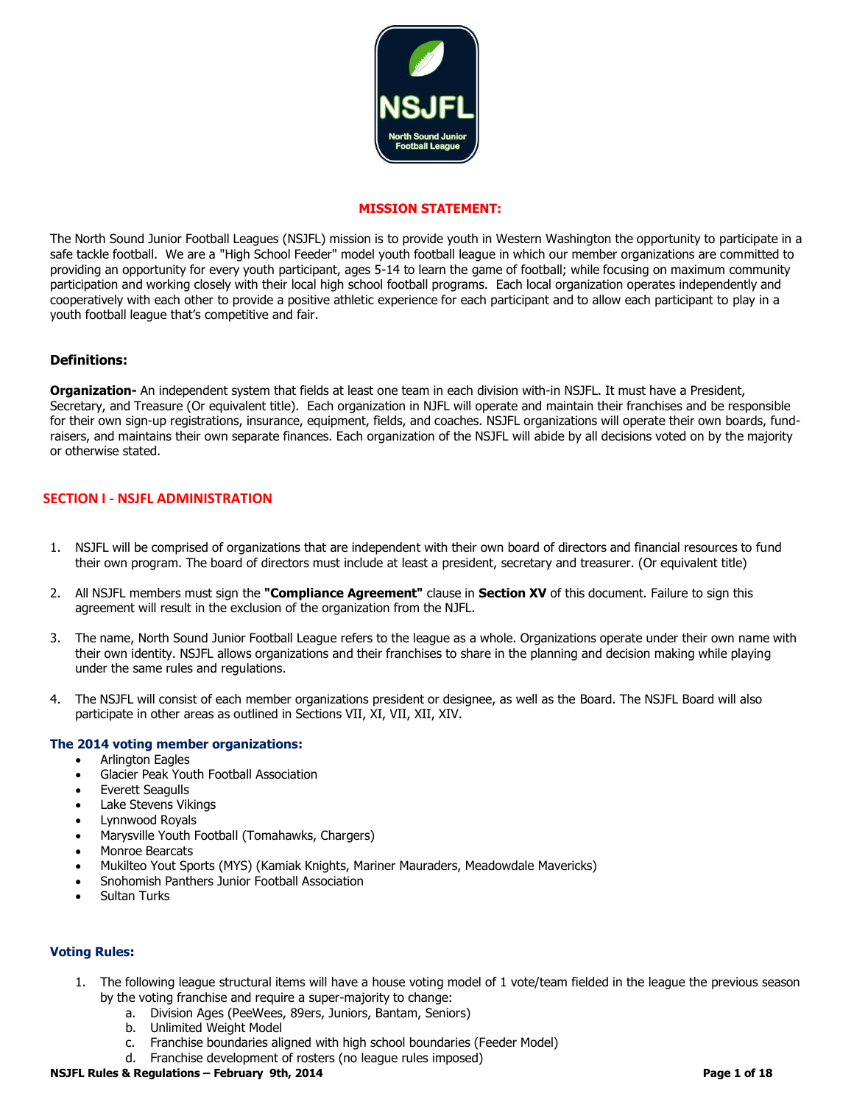

#### **MISSION STATEMENT:**

The North Sound Junior Football Leagues (NSJFL) mission is to provide youth in Western Washington the opportunity to participate in a safe tackle football. We are a "High School Feeder" model youth football league in which our member organizations are committed to providing an opportunity for every youth participant, ages 5-14 to learn the game of football; while focusing on maximum community participation and working closely with their local high school football programs. Each local organization operates independently and cooperatively with each other to provide a positive athletic experience for each participant and to allow each participant to play in a youth football league that's competitive and fair.

#### **Definitions:**

**Organization-** An independent system that fields at least one team in each division with-in NSJFL. It must have a President, Secretary, and Treasure (Or equivalent title). Each organization in NJFL will operate and maintain their franchises and be responsible for their own sign-up registrations, insurance, equipment, fields, and coaches. NSJFL organizations will operate their own boards, fundraisers, and maintains their own separate finances. Each organization of the NSJFL will abide by all decisions voted on by the majority or otherwise stated.

### **SECTION I - NSJFL ADMINISTRATION**

- 1. NSJFL will be comprised of organizations that are independent with their own board of directors and financial resources to fund their own program. The board of directors must include at least a president, secretary and treasurer. (Or equivalent title)
- 2. All NSJFL members must sign the **"Compliance Agreement"** clause in **Section XV** of this document. Failure to sign this agreement will result in the exclusion of the organization from the NJFL.
- 3. The name, North Sound Junior Football League refers to the league as a whole. Organizations operate under their own name with their own identity. NSJFL allows organizations and their franchises to share in the planning and decision making while playing under the same rules and regulations.
- 4. The NSJFL will consist of each member organizations president or designee, as well as the Board. The NSJFL Board will also participate in other areas as outlined in Sections VII, XI, VII, XII, XIV.

#### **The 2014 voting member organizations:**

- Arlington Eagles
- Glacier Peak Youth Football Association
- Everett Seagulls
- Lake Stevens Vikings
- Lynnwood Royals
- Marysville Youth Football (Tomahawks, Chargers)
- Monroe Bearcats
- Mukilteo Yout Sports (MYS) (Kamiak Knights, Mariner Mauraders, Meadowdale Mavericks)
- Snohomish Panthers Junior Football Association
- Sultan Turks

#### **Voting Rules:**

**Feburary 9th, 2014** 

- 1. The following league structural items will have a house voting model of 1 vote/team fielded in the league the previous season by the voting franchise and require a super-majority to change:
	- a. Division Ages (PeeWees, 89ers, Juniors, Bantam, Seniors)
	- b. Unlimited Weight Model
	- c. Franchise boundaries aligned with high school boundaries (Feeder Model)
	- d. Franchise development of rosters (no league rules imposed)

#### **NSJFL Rules & Regulations – February 9th, 2014**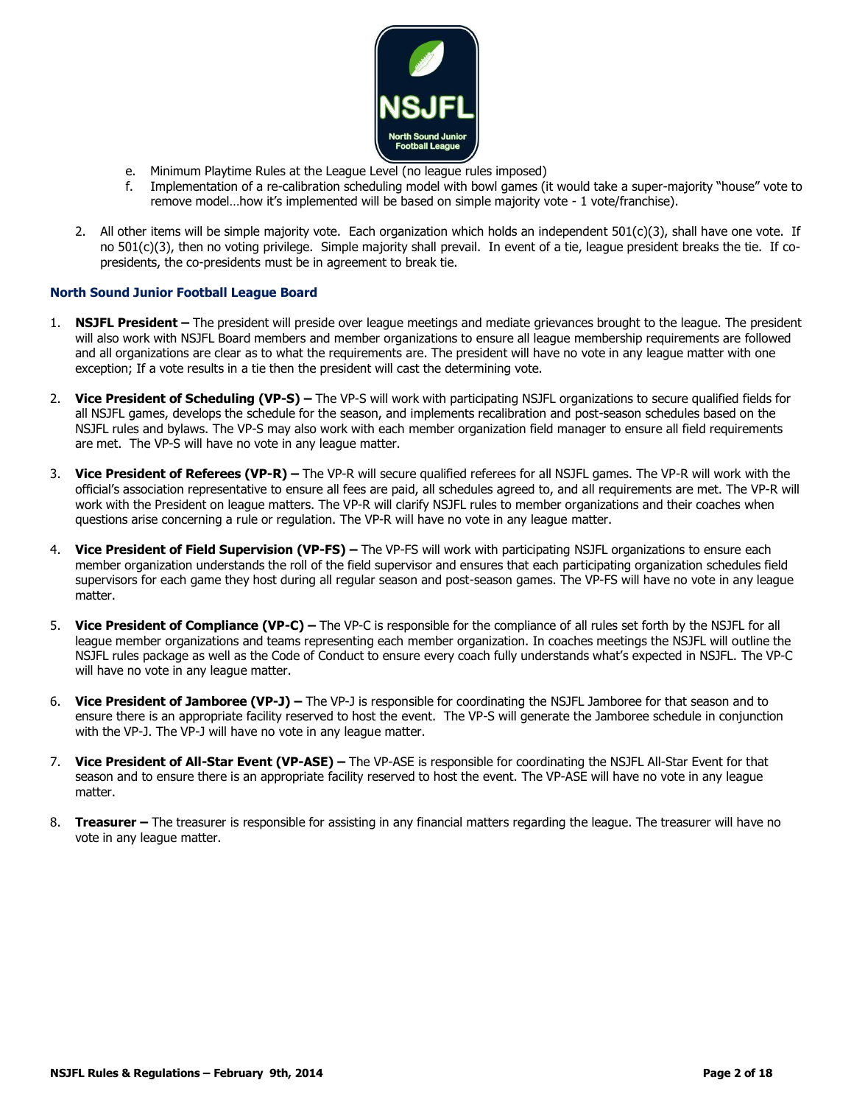

- e. Minimum Playtime Rules at the League Level (no league rules imposed)
- f. Implementation of a re-calibration scheduling model with bowl games (it would take a super-majority "house" vote to remove model…how it's implemented will be based on simple majority vote - 1 vote/franchise).
- 2. All other items will be simple majority vote. Each organization which holds an independent  $501(c)(3)$ , shall have one vote. If no 501(c)(3), then no voting privilege. Simple majority shall prevail. In event of a tie, league president breaks the tie. If copresidents, the co-presidents must be in agreement to break tie.

#### **North Sound Junior Football League Board**

- 1. **NSJFL President –** The president will preside over league meetings and mediate grievances brought to the league. The president will also work with NSJFL Board members and member organizations to ensure all league membership requirements are followed and all organizations are clear as to what the requirements are. The president will have no vote in any league matter with one exception; If a vote results in a tie then the president will cast the determining vote.
- 2. **Vice President of Scheduling (VP-S) –** The VP-S will work with participating NSJFL organizations to secure qualified fields for all NSJFL games, develops the schedule for the season, and implements recalibration and post-season schedules based on the NSJFL rules and bylaws. The VP-S may also work with each member organization field manager to ensure all field requirements are met. The VP-S will have no vote in any league matter.
- 3. **Vice President of Referees (VP-R) –** The VP-R will secure qualified referees for all NSJFL games. The VP-R will work with the official's association representative to ensure all fees are paid, all schedules agreed to, and all requirements are met. The VP-R will work with the President on league matters. The VP-R will clarify NSJFL rules to member organizations and their coaches when questions arise concerning a rule or regulation. The VP-R will have no vote in any league matter.
- 4. **Vice President of Field Supervision (VP-FS) –** The VP-FS will work with participating NSJFL organizations to ensure each member organization understands the roll of the field supervisor and ensures that each participating organization schedules field supervisors for each game they host during all regular season and post-season games. The VP-FS will have no vote in any league matter.
- 5. **Vice President of Compliance (VP-C) –** The VP-C is responsible for the compliance of all rules set forth by the NSJFL for all league member organizations and teams representing each member organization. In coaches meetings the NSJFL will outline the NSJFL rules package as well as the Code of Conduct to ensure every coach fully understands what's expected in NSJFL. The VP-C will have no vote in any league matter.
- 6. **Vice President of Jamboree (VP-J) –** The VP-J is responsible for coordinating the NSJFL Jamboree for that season and to ensure there is an appropriate facility reserved to host the event. The VP-S will generate the Jamboree schedule in conjunction with the VP-J. The VP-J will have no vote in any league matter.
- 7. **Vice President of All-Star Event (VP-ASE) –** The VP-ASE is responsible for coordinating the NSJFL All-Star Event for that season and to ensure there is an appropriate facility reserved to host the event. The VP-ASE will have no vote in any league matter.
- 8. **Treasurer –** The treasurer is responsible for assisting in any financial matters regarding the league. The treasurer will have no vote in any league matter.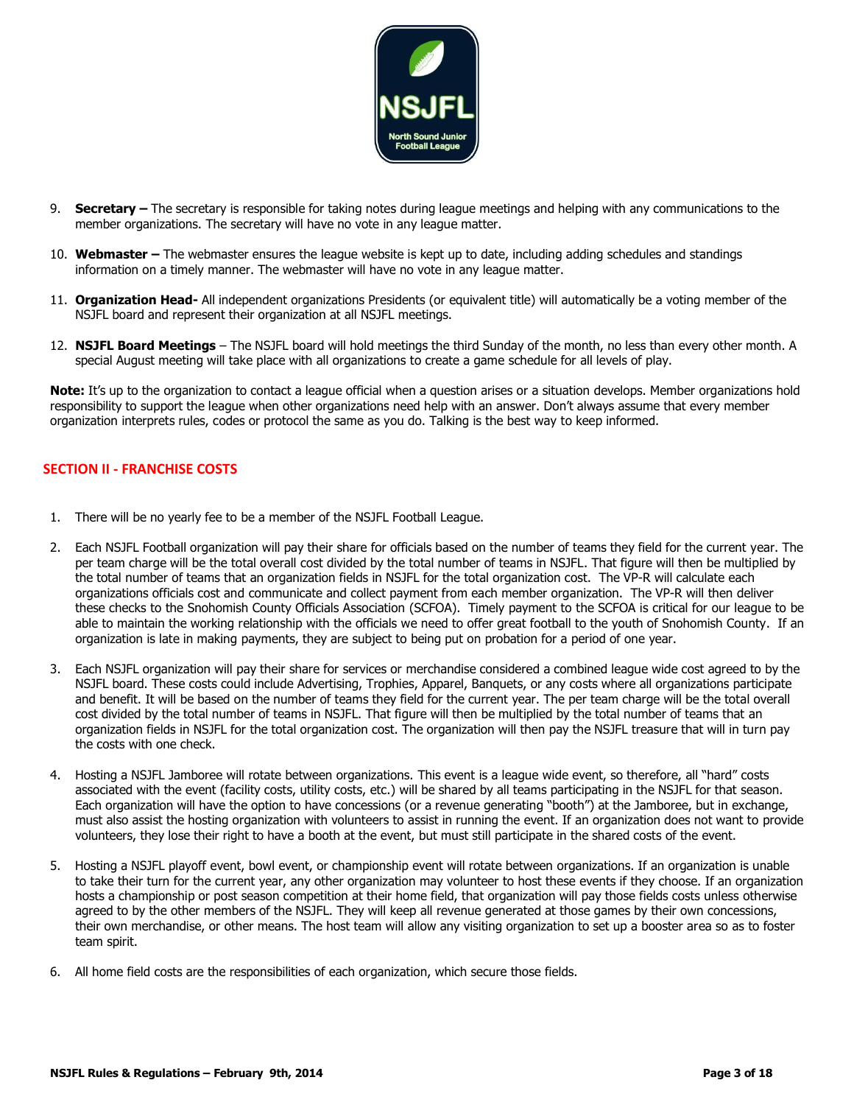

- 9. **Secretary –** The secretary is responsible for taking notes during league meetings and helping with any communications to the member organizations. The secretary will have no vote in any league matter.
- 10. **Webmaster –** The webmaster ensures the league website is kept up to date, including adding schedules and standings information on a timely manner. The webmaster will have no vote in any league matter.
- 11. **Organization Head-** All independent organizations Presidents (or equivalent title) will automatically be a voting member of the NSJFL board and represent their organization at all NSJFL meetings.
- 12. **NSJFL Board Meetings** The NSJFL board will hold meetings the third Sunday of the month, no less than every other month. A special August meeting will take place with all organizations to create a game schedule for all levels of play.

**Note:** It's up to the organization to contact a league official when a question arises or a situation develops. Member organizations hold responsibility to support the league when other organizations need help with an answer. Don't always assume that every member organization interprets rules, codes or protocol the same as you do. Talking is the best way to keep informed.

# **SECTION II - FRANCHISE COSTS**

- 1. There will be no yearly fee to be a member of the NSJFL Football League.
- 2. Each NSJFL Football organization will pay their share for officials based on the number of teams they field for the current year. The per team charge will be the total overall cost divided by the total number of teams in NSJFL. That figure will then be multiplied by the total number of teams that an organization fields in NSJFL for the total organization cost. The VP-R will calculate each organizations officials cost and communicate and collect payment from each member organization. The VP-R will then deliver these checks to the Snohomish County Officials Association (SCFOA). Timely payment to the SCFOA is critical for our league to be able to maintain the working relationship with the officials we need to offer great football to the youth of Snohomish County. If an organization is late in making payments, they are subject to being put on probation for a period of one year.
- 3. Each NSJFL organization will pay their share for services or merchandise considered a combined league wide cost agreed to by the NSJFL board. These costs could include Advertising, Trophies, Apparel, Banquets, or any costs where all organizations participate and benefit. It will be based on the number of teams they field for the current year. The per team charge will be the total overall cost divided by the total number of teams in NSJFL. That figure will then be multiplied by the total number of teams that an organization fields in NSJFL for the total organization cost. The organization will then pay the NSJFL treasure that will in turn pay the costs with one check.
- 4. Hosting a NSJFL Jamboree will rotate between organizations. This event is a league wide event, so therefore, all "hard" costs associated with the event (facility costs, utility costs, etc.) will be shared by all teams participating in the NSJFL for that season. Each organization will have the option to have concessions (or a revenue generating "booth") at the Jamboree, but in exchange, must also assist the hosting organization with volunteers to assist in running the event. If an organization does not want to provide volunteers, they lose their right to have a booth at the event, but must still participate in the shared costs of the event.
- 5. Hosting a NSJFL playoff event, bowl event, or championship event will rotate between organizations. If an organization is unable to take their turn for the current year, any other organization may volunteer to host these events if they choose. If an organization hosts a championship or post season competition at their home field, that organization will pay those fields costs unless otherwise agreed to by the other members of the NSJFL. They will keep all revenue generated at those games by their own concessions, their own merchandise, or other means. The host team will allow any visiting organization to set up a booster area so as to foster team spirit.
- 6. All home field costs are the responsibilities of each organization, which secure those fields.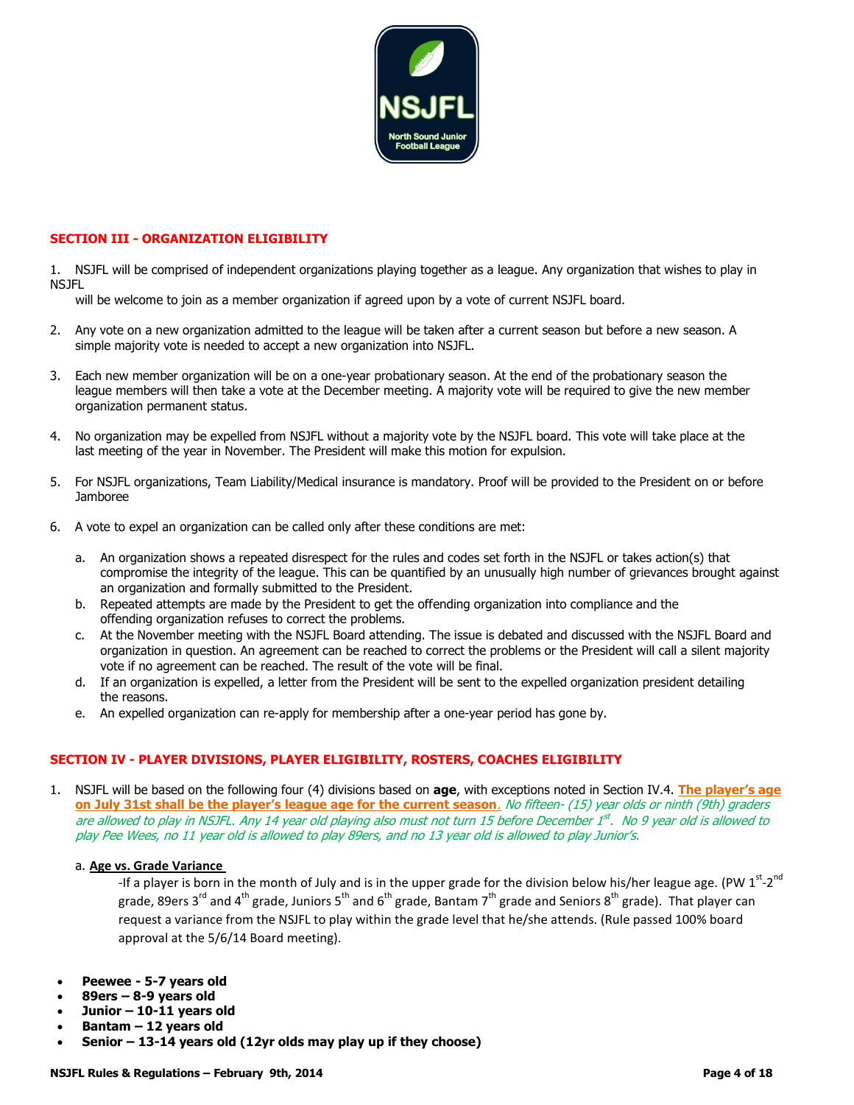

### **SECTION III - ORGANIZATION ELIGIBILITY**

1. NSJFL will be comprised of independent organizations playing together as a league. Any organization that wishes to play in NSJFL

will be welcome to join as a member organization if agreed upon by a vote of current NSJFL board.

- 2. Any vote on a new organization admitted to the league will be taken after a current season but before a new season. A simple majority vote is needed to accept a new organization into NSJFL.
- 3. Each new member organization will be on a one-year probationary season. At the end of the probationary season the league members will then take a vote at the December meeting. A majority vote will be required to give the new member organization permanent status.
- 4. No organization may be expelled from NSJFL without a majority vote by the NSJFL board. This vote will take place at the last meeting of the year in November. The President will make this motion for expulsion.
- 5. For NSJFL organizations, Team Liability/Medical insurance is mandatory. Proof will be provided to the President on or before **Jamboree**
- 6. A vote to expel an organization can be called only after these conditions are met:
	- a. An organization shows a repeated disrespect for the rules and codes set forth in the NSJFL or takes action(s) that compromise the integrity of the league. This can be quantified by an unusually high number of grievances brought against an organization and formally submitted to the President.
	- b. Repeated attempts are made by the President to get the offending organization into compliance and the offending organization refuses to correct the problems.
	- c. At the November meeting with the NSJFL Board attending. The issue is debated and discussed with the NSJFL Board and organization in question. An agreement can be reached to correct the problems or the President will call a silent majority vote if no agreement can be reached. The result of the vote will be final.
	- d. If an organization is expelled, a letter from the President will be sent to the expelled organization president detailing the reasons.
	- e. An expelled organization can re-apply for membership after a one-year period has gone by.

### **SECTION IV - PLAYER DIVISIONS, PLAYER ELIGIBILITY, ROSTERS, COACHES ELIGIBILITY**

1. NSJFL will be based on the following four (4) divisions based on **age**, with exceptions noted in Section IV.4. **The player's age on July 31st shall be the player's league age for the current season**. No fifteen- (15) year olds or ninth (9th) graders are allowed to play in NSJFL. Any 14 year old playing also must not turn 15 before December 1st. No 9 year old is allowed to play Pee Wees, no 11 year old is allowed to play 89ers, and no 13 year old is allowed to play Junior's.

#### a. **Age vs. Grade Variance**

-If a player is born in the month of July and is in the upper grade for the division below his/her league age. (PW 1<sup>st</sup>-2<sup>nd</sup> grade, 89ers 3<sup>rd</sup> and 4<sup>th</sup> grade, Juniors 5<sup>th</sup> and 6<sup>th</sup> grade, Bantam 7<sup>th</sup> grade and Seniors 8<sup>th</sup> grade). That player can request a variance from the NSJFL to play within the grade level that he/she attends. (Rule passed 100% board approval at the 5/6/14 Board meeting).

- **Peewee - 5-7 years old**
- **89ers – 8-9 years old**
- **Junior – 10-11 years old**
- **Bantam – 12 years old**

**Feburary 9th, 2014** 

**Senior – 13-14 years old (12yr olds may play up if they choose)**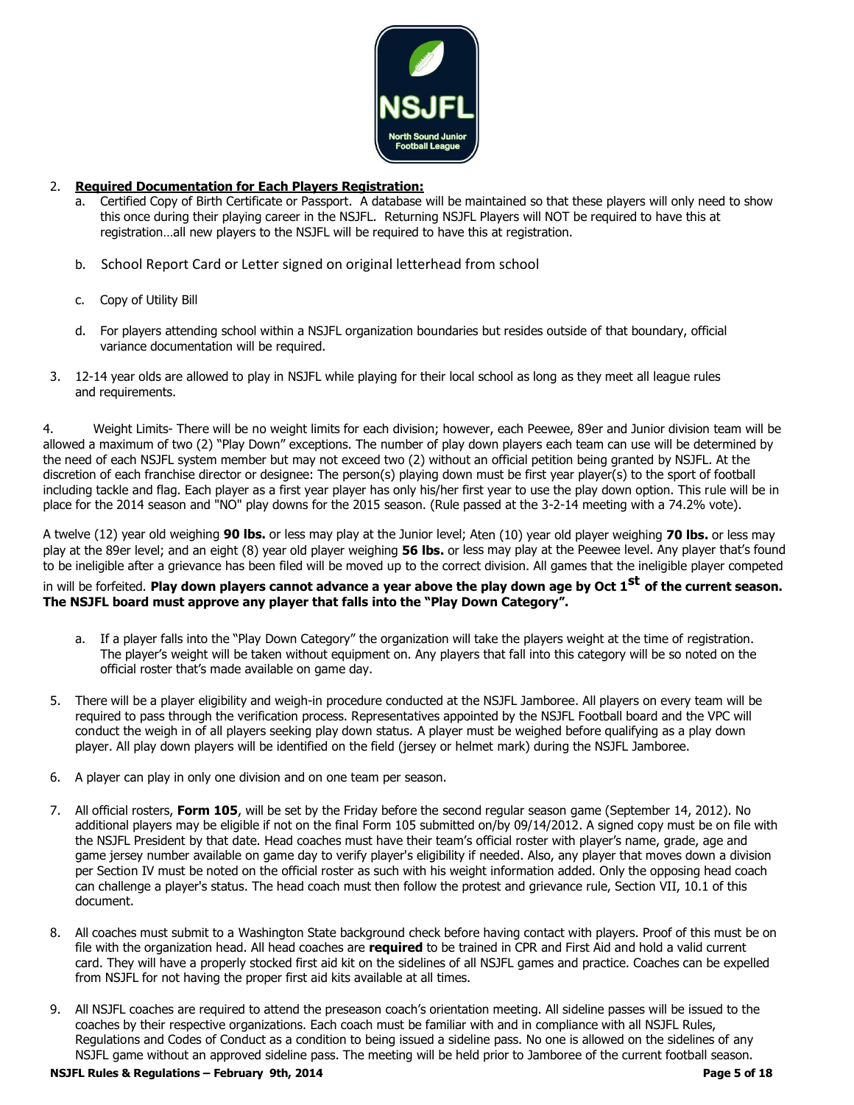

### 2. **Required Documentation for Each Players Registration:**

- a. Certified Copy of Birth Certificate or Passport. A database will be maintained so that these players will only need to show this once during their playing career in the NSJFL. Returning NSJFL Players will NOT be required to have this at registration…all new players to the NSJFL will be required to have this at registration.
- b. School Report Card or Letter signed on original letterhead from school
- c. Copy of Utility Bill
- d. For players attending school within a NSJFL organization boundaries but resides outside of that boundary, official variance documentation will be required.
- 3. 12-14 year olds are allowed to play in NSJFL while playing for their local school as long as they meet all league rules and requirements.

4. Weight Limits- There will be no weight limits for each division; however, each Peewee, 89er and Junior division team will be allowed a maximum of two (2) "Play Down" exceptions. The number of play down players each team can use will be determined by the need of each NSJFL system member but may not exceed two (2) without an official petition being granted by NSJFL. At the discretion of each franchise director or designee: The person(s) playing down must be first year player(s) to the sport of football including tackle and flag. Each player as a first year player has only his/her first year to use the play down option. This rule will be in place for the 2014 season and "NO" play downs for the 2015 season. (Rule passed at the 3-2-14 meeting with a 74.2% vote).

A twelve (12) year old weighing **90 lbs.** or less may play at the Junior level; Aten (10) year old player weighing **70 lbs.** or less may play at the 89er level; and an eight (8) year old player weighing **56 lbs.** or less may play at the Peewee level. Any player that's found to be ineligible after a grievance has been filed will be moved up to the correct division. All games that the ineligible player competed

# in will be forfeited. **Play down players cannot advance a year above the play down age by Oct 1 st of the current season. The NSJFL board must approve any player that falls into the "Play Down Category".**

- a. If a player falls into the "Play Down Category" the organization will take the players weight at the time of registration. The player's weight will be taken without equipment on. Any players that fall into this category will be so noted on the official roster that's made available on game day.
- 5. There will be a player eligibility and weigh-in procedure conducted at the NSJFL Jamboree. All players on every team will be required to pass through the verification process. Representatives appointed by the NSJFL Football board and the VPC will conduct the weigh in of all players seeking play down status. A player must be weighed before qualifying as a play down player. All play down players will be identified on the field (jersey or helmet mark) during the NSJFL Jamboree.
- 6. A player can play in only one division and on one team per season.
- 7. All official rosters, **Form 105**, will be set by the Friday before the second regular season game (September 14, 2012). No additional players may be eligible if not on the final Form 105 submitted on/by 09/14/2012. A signed copy must be on file with the NSJFL President by that date. Head coaches must have their team's official roster with player's name, grade, age and game jersey number available on game day to verify player's eligibility if needed. Also, any player that moves down a division per Section IV must be noted on the official roster as such with his weight information added. Only the opposing head coach can challenge a player's status. The head coach must then follow the protest and grievance rule, Section VII, 10.1 of this document.
- 8. All coaches must submit to a Washington State background check before having contact with players. Proof of this must be on file with the organization head. All head coaches are **required** to be trained in CPR and First Aid and hold a valid current card. They will have a properly stocked first aid kit on the sidelines of all NSJFL games and practice. Coaches can be expelled from NSJFL for not having the proper first aid kits available at all times.
- 9. All NSJFL coaches are required to attend the preseason coach's orientation meeting. All sideline passes will be issued to the coaches by their respective organizations. Each coach must be familiar with and in compliance with all NSJFL Rules, Regulations and Codes of Conduct as a condition to being issued a sideline pass. No one is allowed on the sidelines of any NSJFL game without an approved sideline pass. The meeting will be held prior to Jamboree of the current football season.

#### **NSJFL Rules & Regulations – February 9th, 2014**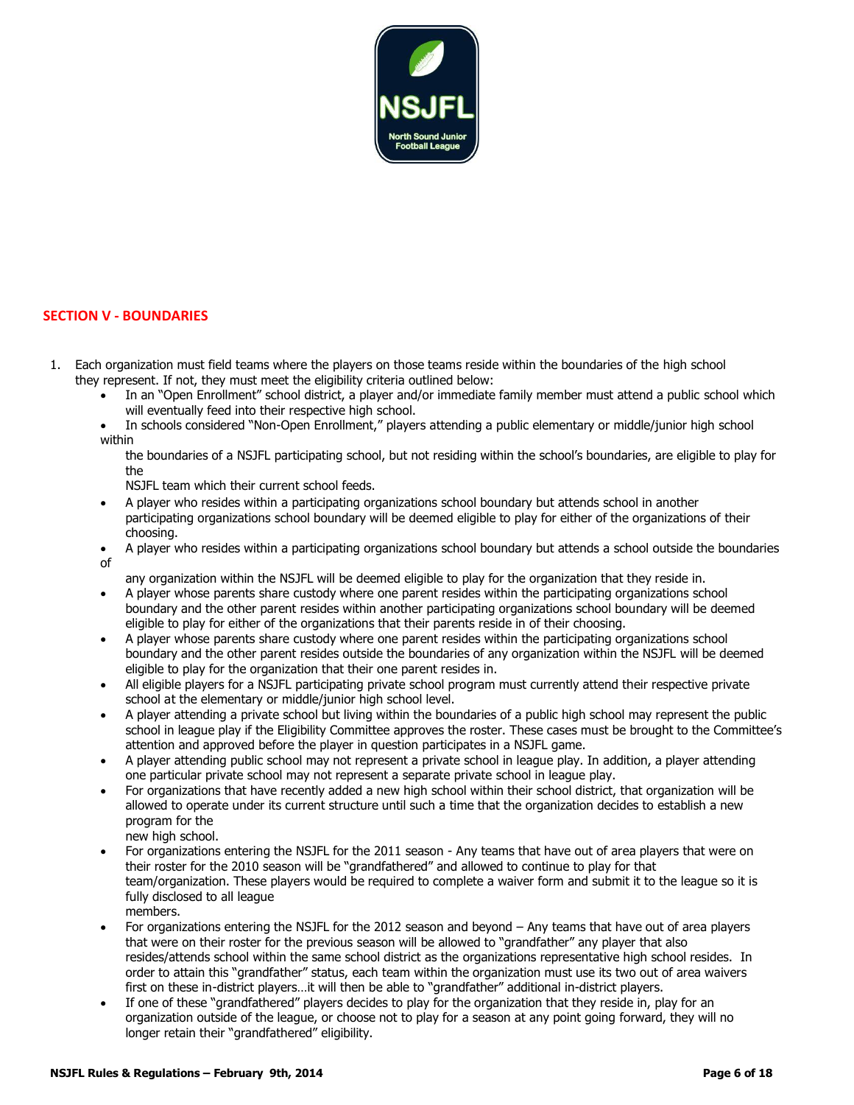

# **SECTION V - BOUNDARIES**

- 1. Each organization must field teams where the players on those teams reside within the boundaries of the high school they represent. If not, they must meet the eligibility criteria outlined below:
	- In an "Open Enrollment" school district, a player and/or immediate family member must attend a public school which will eventually feed into their respective high school.
	- In schools considered "Non-Open Enrollment," players attending a public elementary or middle/junior high school within

the boundaries of a NSJFL participating school, but not residing within the school's boundaries, are eligible to play for the

NSJFL team which their current school feeds.

- A player who resides within a participating organizations school boundary but attends school in another participating organizations school boundary will be deemed eligible to play for either of the organizations of their choosing.
- A player who resides within a participating organizations school boundary but attends a school outside the boundaries of

any organization within the NSJFL will be deemed eligible to play for the organization that they reside in.

- A player whose parents share custody where one parent resides within the participating organizations school boundary and the other parent resides within another participating organizations school boundary will be deemed eligible to play for either of the organizations that their parents reside in of their choosing.
- A player whose parents share custody where one parent resides within the participating organizations school boundary and the other parent resides outside the boundaries of any organization within the NSJFL will be deemed eligible to play for the organization that their one parent resides in.
- All eligible players for a NSJFL participating private school program must currently attend their respective private school at the elementary or middle/junior high school level.
- A player attending a private school but living within the boundaries of a public high school may represent the public school in league play if the Eligibility Committee approves the roster. These cases must be brought to the Committee's attention and approved before the player in question participates in a NSJFL game.
- A player attending public school may not represent a private school in league play. In addition, a player attending one particular private school may not represent a separate private school in league play.
- For organizations that have recently added a new high school within their school district, that organization will be allowed to operate under its current structure until such a time that the organization decides to establish a new program for the
	- new high school.
- For organizations entering the NSJFL for the 2011 season Any teams that have out of area players that were on their roster for the 2010 season will be "grandfathered" and allowed to continue to play for that team/organization. These players would be required to complete a waiver form and submit it to the league so it is fully disclosed to all league members.
- For organizations entering the NSJFL for the 2012 season and beyond Any teams that have out of area players that were on their roster for the previous season will be allowed to "grandfather" any player that also resides/attends school within the same school district as the organizations representative high school resides. In order to attain this "grandfather" status, each team within the organization must use its two out of area waivers first on these in-district players…it will then be able to "grandfather" additional in-district players.
- If one of these "grandfathered" players decides to play for the organization that they reside in, play for an organization outside of the league, or choose not to play for a season at any point going forward, they will no longer retain their "grandfathered" eligibility.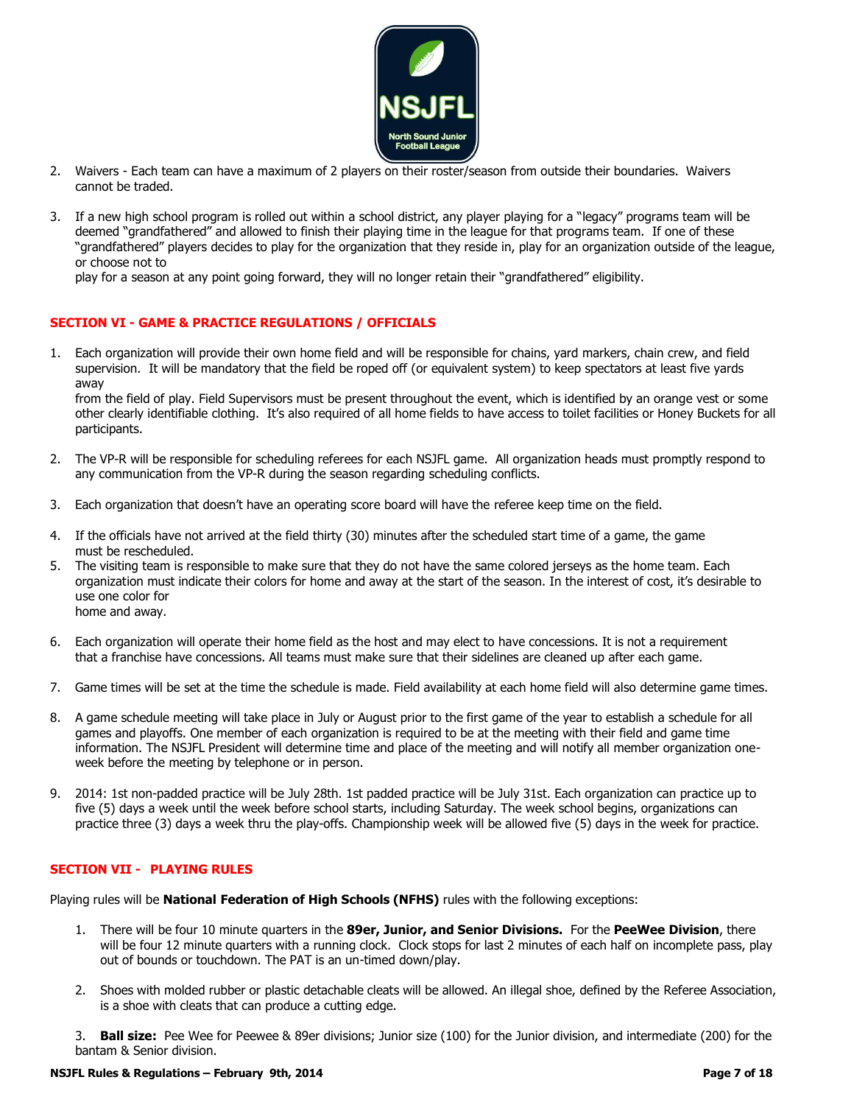

- 2. Waivers Each team can have a maximum of 2 players on their roster/season from outside their boundaries. Waivers cannot be traded.
- 3. If a new high school program is rolled out within a school district, any player playing for a "legacy" programs team will be deemed "grandfathered" and allowed to finish their playing time in the league for that programs team. If one of these "grandfathered" players decides to play for the organization that they reside in, play for an organization outside of the league, or choose not to

play for a season at any point going forward, they will no longer retain their "grandfathered" eligibility.

### **SECTION VI - GAME & PRACTICE REGULATIONS / OFFICIALS**

1. Each organization will provide their own home field and will be responsible for chains, yard markers, chain crew, and field supervision. It will be mandatory that the field be roped off (or equivalent system) to keep spectators at least five yards away

from the field of play. Field Supervisors must be present throughout the event, which is identified by an orange vest or some other clearly identifiable clothing. It's also required of all home fields to have access to toilet facilities or Honey Buckets for all participants.

- 2. The VP-R will be responsible for scheduling referees for each NSJFL game. All organization heads must promptly respond to any communication from the VP-R during the season regarding scheduling conflicts.
- 3. Each organization that doesn't have an operating score board will have the referee keep time on the field.
- 4. If the officials have not arrived at the field thirty (30) minutes after the scheduled start time of a game, the game must be rescheduled.
- 5. The visiting team is responsible to make sure that they do not have the same colored jerseys as the home team. Each organization must indicate their colors for home and away at the start of the season. In the interest of cost, it's desirable to use one color for home and away.
- 6. Each organization will operate their home field as the host and may elect to have concessions. It is not a requirement that a franchise have concessions. All teams must make sure that their sidelines are cleaned up after each game.
- 7. Game times will be set at the time the schedule is made. Field availability at each home field will also determine game times.
- 8. A game schedule meeting will take place in July or August prior to the first game of the year to establish a schedule for all games and playoffs. One member of each organization is required to be at the meeting with their field and game time information. The NSJFL President will determine time and place of the meeting and will notify all member organization oneweek before the meeting by telephone or in person.
- 9. 2014: 1st non-padded practice will be July 28th. 1st padded practice will be July 31st. Each organization can practice up to five (5) days a week until the week before school starts, including Saturday. The week school begins, organizations can practice three (3) days a week thru the play-offs. Championship week will be allowed five (5) days in the week for practice.

#### **SECTION VII - PLAYING RULES**

Playing rules will be **National Federation of High Schools (NFHS)** rules with the following exceptions:

- 1. There will be four 10 minute quarters in the **89er, Junior, and Senior Divisions.** For the **PeeWee Division**, there will be four 12 minute quarters with a running clock. Clock stops for last 2 minutes of each half on incomplete pass, play out of bounds or touchdown. The PAT is an un-timed down/play.
- 2. Shoes with molded rubber or plastic detachable cleats will be allowed. An illegal shoe, defined by the Referee Association, is a shoe with cleats that can produce a cutting edge.

3. **Ball size:** Pee Wee for Peewee & 89er divisions; Junior size (100) for the Junior division, and intermediate (200) for the bantam & Senior division.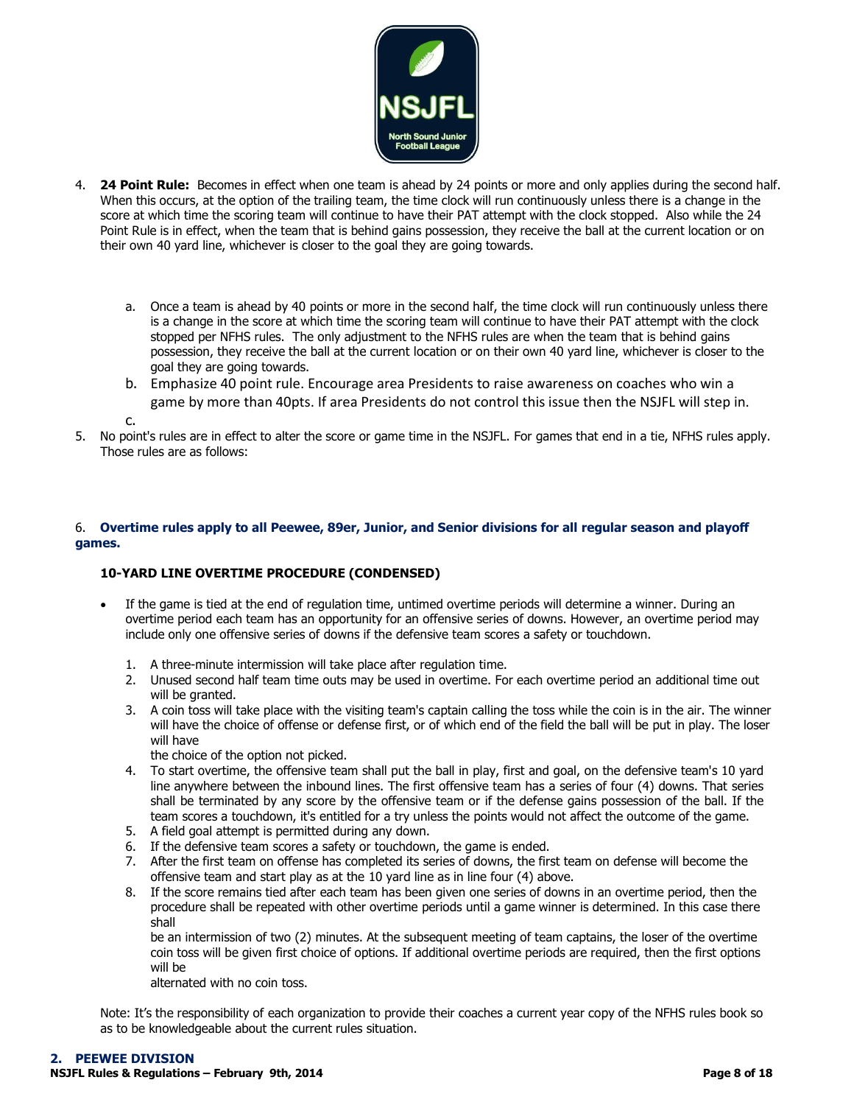

- 4. **24 Point Rule:** Becomes in effect when one team is ahead by 24 points or more and only applies during the second half. When this occurs, at the option of the trailing team, the time clock will run continuously unless there is a change in the score at which time the scoring team will continue to have their PAT attempt with the clock stopped. Also while the 24 Point Rule is in effect, when the team that is behind gains possession, they receive the ball at the current location or on their own 40 yard line, whichever is closer to the goal they are going towards.
	- a. Once a team is ahead by 40 points or more in the second half, the time clock will run continuously unless there is a change in the score at which time the scoring team will continue to have their PAT attempt with the clock stopped per NFHS rules. The only adjustment to the NFHS rules are when the team that is behind gains possession, they receive the ball at the current location or on their own 40 yard line, whichever is closer to the goal they are going towards.
	- b. Emphasize 40 point rule. Encourage area Presidents to raise awareness on coaches who win a game by more than 40pts. If area Presidents do not control this issue then the NSJFL will step in.

c.

5. No point's rules are in effect to alter the score or game time in the NSJFL. For games that end in a tie, NFHS rules apply. Those rules are as follows:

#### 6. **Overtime rules apply to all Peewee, 89er, Junior, and Senior divisions for all regular season and playoff games.**

### **10-YARD LINE OVERTIME PROCEDURE (CONDENSED)**

- If the game is tied at the end of regulation time, untimed overtime periods will determine a winner. During an overtime period each team has an opportunity for an offensive series of downs. However, an overtime period may include only one offensive series of downs if the defensive team scores a safety or touchdown.
	- 1. A three-minute intermission will take place after regulation time.
	- 2. Unused second half team time outs may be used in overtime. For each overtime period an additional time out will be granted.
	- 3. A coin toss will take place with the visiting team's captain calling the toss while the coin is in the air. The winner will have the choice of offense or defense first, or of which end of the field the ball will be put in play. The loser will have

the choice of the option not picked.

- 4. To start overtime, the offensive team shall put the ball in play, first and goal, on the defensive team's 10 yard line anywhere between the inbound lines. The first offensive team has a series of four (4) downs. That series shall be terminated by any score by the offensive team or if the defense gains possession of the ball. If the team scores a touchdown, it's entitled for a try unless the points would not affect the outcome of the game.
- 5. A field goal attempt is permitted during any down.
- 6. If the defensive team scores a safety or touchdown, the game is ended.
- 7. After the first team on offense has completed its series of downs, the first team on defense will become the offensive team and start play as at the 10 yard line as in line four (4) above.
- 8. If the score remains tied after each team has been given one series of downs in an overtime period, then the procedure shall be repeated with other overtime periods until a game winner is determined. In this case there shall

be an intermission of two (2) minutes. At the subsequent meeting of team captains, the loser of the overtime coin toss will be given first choice of options. If additional overtime periods are required, then the first options will be

alternated with no coin toss.

Note: It's the responsibility of each organization to provide their coaches a current year copy of the NFHS rules book so as to be knowledgeable about the current rules situation.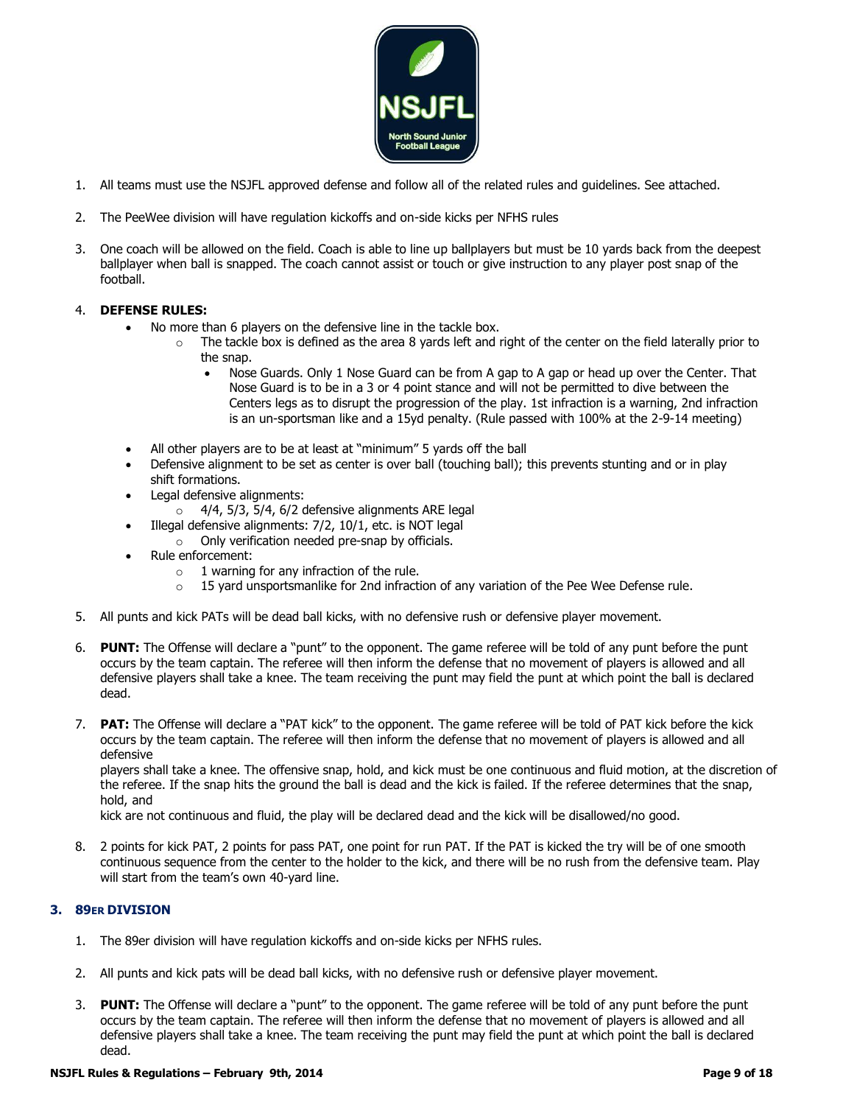

- 1. All teams must use the NSJFL approved defense and follow all of the related rules and guidelines. See attached.
- 2. The PeeWee division will have regulation kickoffs and on-side kicks per NFHS rules
- 3. One coach will be allowed on the field. Coach is able to line up ballplayers but must be 10 yards back from the deepest ballplayer when ball is snapped. The coach cannot assist or touch or give instruction to any player post snap of the football.

#### 4. **DEFENSE RULES:**

- No more than 6 players on the defensive line in the tackle box.
	- $\circ$  The tackle box is defined as the area 8 yards left and right of the center on the field laterally prior to the snap.
		- Nose Guards. Only 1 Nose Guard can be from A gap to A gap or head up over the Center. That Nose Guard is to be in a 3 or 4 point stance and will not be permitted to dive between the Centers legs as to disrupt the progression of the play. 1st infraction is a warning, 2nd infraction is an un-sportsman like and a 15yd penalty. (Rule passed with 100% at the 2-9-14 meeting)
- All other players are to be at least at "minimum" 5 yards off the ball
- Defensive alignment to be set as center is over ball (touching ball); this prevents stunting and or in play shift formations.
- Legal defensive alignments:
	- $\circ$  4/4, 5/3, 5/4, 6/2 defensive alignments ARE legal
- Illegal defensive alignments: 7/2, 10/1, etc. is NOT legal
	- o Only verification needed pre-snap by officials.
- Rule enforcement:
	- $\circ$  1 warning for any infraction of the rule.
	- $\circ$  15 yard unsportsmanlike for 2nd infraction of any variation of the Pee Wee Defense rule.
- 5. All punts and kick PATs will be dead ball kicks, with no defensive rush or defensive player movement.
- 6. **PUNT:** The Offense will declare a "punt" to the opponent. The game referee will be told of any punt before the punt occurs by the team captain. The referee will then inform the defense that no movement of players is allowed and all defensive players shall take a knee. The team receiving the punt may field the punt at which point the ball is declared dead.
- 7. **PAT:** The Offense will declare a "PAT kick" to the opponent. The game referee will be told of PAT kick before the kick occurs by the team captain. The referee will then inform the defense that no movement of players is allowed and all defensive

players shall take a knee. The offensive snap, hold, and kick must be one continuous and fluid motion, at the discretion of the referee. If the snap hits the ground the ball is dead and the kick is failed. If the referee determines that the snap, hold, and

kick are not continuous and fluid, the play will be declared dead and the kick will be disallowed/no good.

8. 2 points for kick PAT, 2 points for pass PAT, one point for run PAT. If the PAT is kicked the try will be of one smooth continuous sequence from the center to the holder to the kick, and there will be no rush from the defensive team. Play will start from the team's own 40-yard line.

### **3. 89ER DIVISION**

- 1. The 89er division will have regulation kickoffs and on-side kicks per NFHS rules.
- 2. All punts and kick pats will be dead ball kicks, with no defensive rush or defensive player movement.
- 3. **PUNT:** The Offense will declare a "punt" to the opponent. The game referee will be told of any punt before the punt occurs by the team captain. The referee will then inform the defense that no movement of players is allowed and all defensive players shall take a knee. The team receiving the punt may field the punt at which point the ball is declared dead.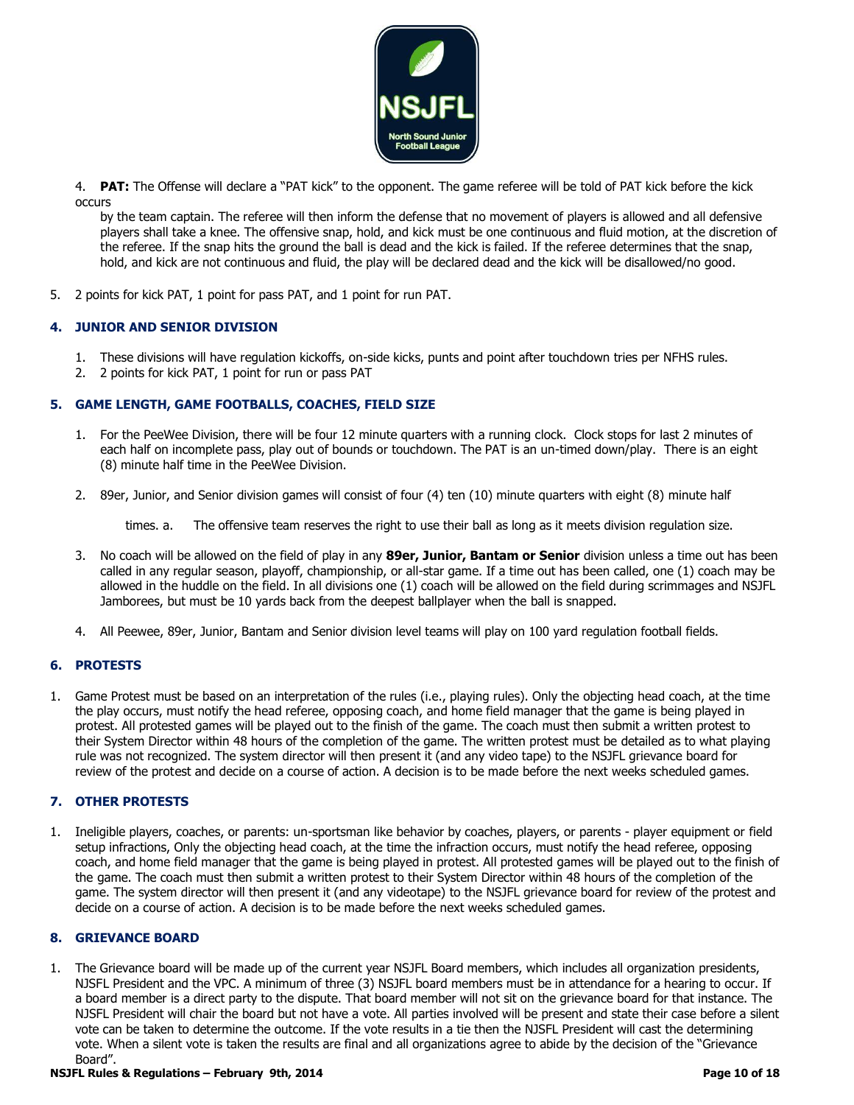

4. **PAT:** The Offense will declare a "PAT kick" to the opponent. The game referee will be told of PAT kick before the kick occurs

by the team captain. The referee will then inform the defense that no movement of players is allowed and all defensive players shall take a knee. The offensive snap, hold, and kick must be one continuous and fluid motion, at the discretion of the referee. If the snap hits the ground the ball is dead and the kick is failed. If the referee determines that the snap, hold, and kick are not continuous and fluid, the play will be declared dead and the kick will be disallowed/no good.

5. 2 points for kick PAT, 1 point for pass PAT, and 1 point for run PAT.

### **4. JUNIOR AND SENIOR DIVISION**

- 1. These divisions will have regulation kickoffs, on-side kicks, punts and point after touchdown tries per NFHS rules.
- 2. 2 points for kick PAT, 1 point for run or pass PAT

### **5. GAME LENGTH, GAME FOOTBALLS, COACHES, FIELD SIZE**

- 1. For the PeeWee Division, there will be four 12 minute quarters with a running clock. Clock stops for last 2 minutes of each half on incomplete pass, play out of bounds or touchdown. The PAT is an un-timed down/play. There is an eight (8) minute half time in the PeeWee Division.
- 2. 89er, Junior, and Senior division games will consist of four (4) ten (10) minute quarters with eight (8) minute half

times. a. The offensive team reserves the right to use their ball as long as it meets division regulation size.

- 3. No coach will be allowed on the field of play in any **89er, Junior, Bantam or Senior** division unless a time out has been called in any regular season, playoff, championship, or all-star game. If a time out has been called, one (1) coach may be allowed in the huddle on the field. In all divisions one (1) coach will be allowed on the field during scrimmages and NSJFL Jamborees, but must be 10 yards back from the deepest ballplayer when the ball is snapped.
- 4. All Peewee, 89er, Junior, Bantam and Senior division level teams will play on 100 yard regulation football fields.

### **6. PROTESTS**

1. Game Protest must be based on an interpretation of the rules (i.e., playing rules). Only the objecting head coach, at the time the play occurs, must notify the head referee, opposing coach, and home field manager that the game is being played in protest. All protested games will be played out to the finish of the game. The coach must then submit a written protest to their System Director within 48 hours of the completion of the game. The written protest must be detailed as to what playing rule was not recognized. The system director will then present it (and any video tape) to the NSJFL grievance board for review of the protest and decide on a course of action. A decision is to be made before the next weeks scheduled games.

#### **7. OTHER PROTESTS**

1. Ineligible players, coaches, or parents: un-sportsman like behavior by coaches, players, or parents - player equipment or field setup infractions, Only the objecting head coach, at the time the infraction occurs, must notify the head referee, opposing coach, and home field manager that the game is being played in protest. All protested games will be played out to the finish of the game. The coach must then submit a written protest to their System Director within 48 hours of the completion of the game. The system director will then present it (and any videotape) to the NSJFL grievance board for review of the protest and decide on a course of action. A decision is to be made before the next weeks scheduled games.

#### **8. GRIEVANCE BOARD**

1. The Grievance board will be made up of the current year NSJFL Board members, which includes all organization presidents, NJSFL President and the VPC. A minimum of three (3) NSJFL board members must be in attendance for a hearing to occur. If a board member is a direct party to the dispute. That board member will not sit on the grievance board for that instance. The NJSFL President will chair the board but not have a vote. All parties involved will be present and state their case before a silent vote can be taken to determine the outcome. If the vote results in a tie then the NJSFL President will cast the determining vote. When a silent vote is taken the results are final and all organizations agree to abide by the decision of the "Grievance Board".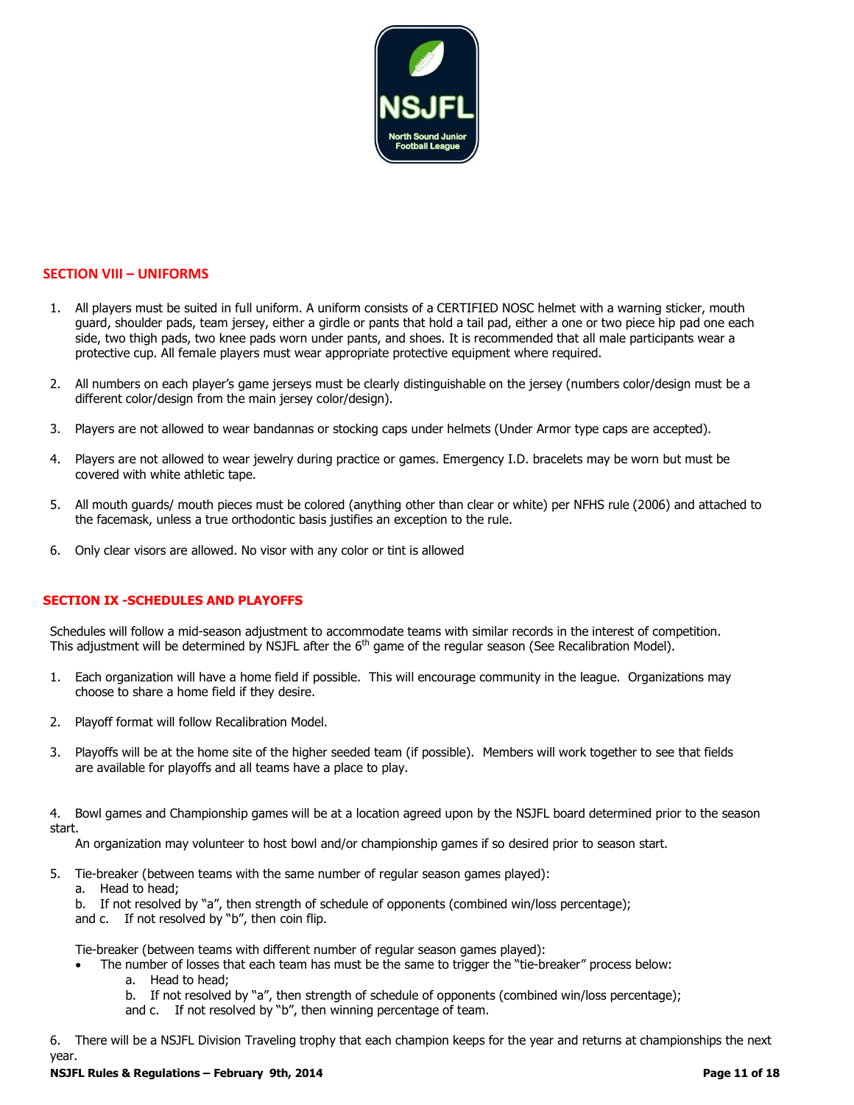

#### **SECTION VIII – UNIFORMS**

- 1. All players must be suited in full uniform. A uniform consists of a CERTIFIED NOSC helmet with a warning sticker, mouth guard, shoulder pads, team jersey, either a girdle or pants that hold a tail pad, either a one or two piece hip pad one each side, two thigh pads, two knee pads worn under pants, and shoes. It is recommended that all male participants wear a protective cup. All female players must wear appropriate protective equipment where required.
- 2. All numbers on each player's game jerseys must be clearly distinguishable on the jersey (numbers color/design must be a different color/design from the main jersey color/design).
- 3. Players are not allowed to wear bandannas or stocking caps under helmets (Under Armor type caps are accepted).
- 4. Players are not allowed to wear jewelry during practice or games. Emergency I.D. bracelets may be worn but must be covered with white athletic tape.
- 5. All mouth guards/ mouth pieces must be colored (anything other than clear or white) per NFHS rule (2006) and attached to the facemask, unless a true orthodontic basis justifies an exception to the rule.
- 6. Only clear visors are allowed. No visor with any color or tint is allowed

#### **SECTION IX -SCHEDULES AND PLAYOFFS**

Schedules will follow a mid-season adjustment to accommodate teams with similar records in the interest of competition. This adjustment will be determined by NSJFL after the 6<sup>th</sup> game of the regular season (See Recalibration Model).

- 1. Each organization will have a home field if possible. This will encourage community in the league. Organizations may choose to share a home field if they desire.
- 2. Playoff format will follow Recalibration Model.
- 3. Playoffs will be at the home site of the higher seeded team (if possible). Members will work together to see that fields are available for playoffs and all teams have a place to play.
- 4. Bowl games and Championship games will be at a location agreed upon by the NSJFL board determined prior to the season start.

An organization may volunteer to host bowl and/or championship games if so desired prior to season start.

- 5. Tie-breaker (between teams with the same number of regular season games played):
- a. Head to head;

**Feburary 9th, 2014** 

b. If not resolved by "a", then strength of schedule of opponents (combined win/loss percentage);

and c. If not resolved by "b", then coin flip.

Tie-breaker (between teams with different number of regular season games played):

The number of losses that each team has must be the same to trigger the "tie-breaker" process below:

a. Head to head;

b. If not resolved by "a", then strength of schedule of opponents (combined win/loss percentage);

and c. If not resolved by "b", then winning percentage of team.

6. There will be a NSJFL Division Traveling trophy that each champion keeps for the year and returns at championships the next year.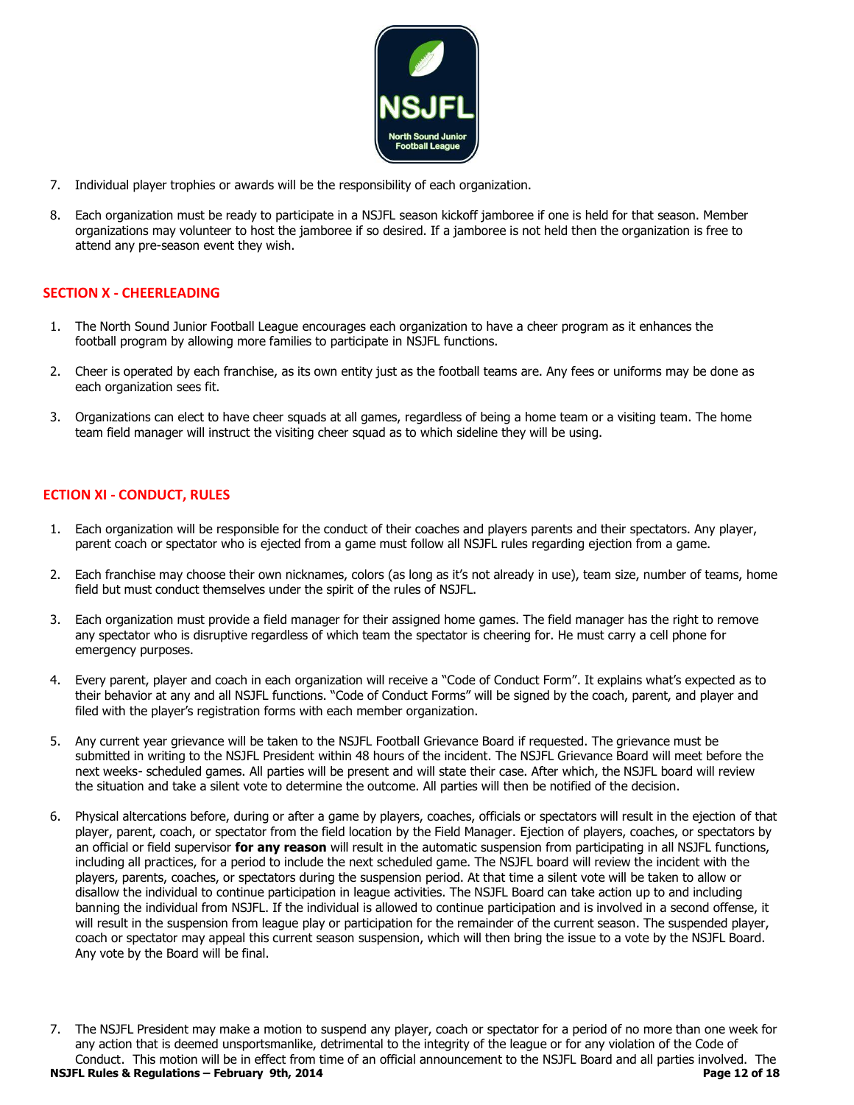

- 7. Individual player trophies or awards will be the responsibility of each organization.
- 8. Each organization must be ready to participate in a NSJFL season kickoff jamboree if one is held for that season. Member organizations may volunteer to host the jamboree if so desired. If a jamboree is not held then the organization is free to attend any pre-season event they wish.

### **SECTION X - CHEERLEADING**

- 1. The North Sound Junior Football League encourages each organization to have a cheer program as it enhances the football program by allowing more families to participate in NSJFL functions.
- 2. Cheer is operated by each franchise, as its own entity just as the football teams are. Any fees or uniforms may be done as each organization sees fit.
- 3. Organizations can elect to have cheer squads at all games, regardless of being a home team or a visiting team. The home team field manager will instruct the visiting cheer squad as to which sideline they will be using.

### **ECTION XI - CONDUCT, RULES**

- 1. Each organization will be responsible for the conduct of their coaches and players parents and their spectators. Any player, parent coach or spectator who is ejected from a game must follow all NSJFL rules regarding ejection from a game.
- 2. Each franchise may choose their own nicknames, colors (as long as it's not already in use), team size, number of teams, home field but must conduct themselves under the spirit of the rules of NSJFL.
- 3. Each organization must provide a field manager for their assigned home games. The field manager has the right to remove any spectator who is disruptive regardless of which team the spectator is cheering for. He must carry a cell phone for emergency purposes.
- 4. Every parent, player and coach in each organization will receive a "Code of Conduct Form". It explains what's expected as to their behavior at any and all NSJFL functions. "Code of Conduct Forms" will be signed by the coach, parent, and player and filed with the player's registration forms with each member organization.
- 5. Any current year grievance will be taken to the NSJFL Football Grievance Board if requested. The grievance must be submitted in writing to the NSJFL President within 48 hours of the incident. The NSJFL Grievance Board will meet before the next weeks- scheduled games. All parties will be present and will state their case. After which, the NSJFL board will review the situation and take a silent vote to determine the outcome. All parties will then be notified of the decision.
- 6. Physical altercations before, during or after a game by players, coaches, officials or spectators will result in the ejection of that player, parent, coach, or spectator from the field location by the Field Manager. Ejection of players, coaches, or spectators by an official or field supervisor **for any reason** will result in the automatic suspension from participating in all NSJFL functions, including all practices, for a period to include the next scheduled game. The NSJFL board will review the incident with the players, parents, coaches, or spectators during the suspension period. At that time a silent vote will be taken to allow or disallow the individual to continue participation in league activities. The NSJFL Board can take action up to and including banning the individual from NSJFL. If the individual is allowed to continue participation and is involved in a second offense, it will result in the suspension from league play or participation for the remainder of the current season. The suspended player, coach or spectator may appeal this current season suspension, which will then bring the issue to a vote by the NSJFL Board. Any vote by the Board will be final.

**NSJFL Rules & Regulations – February 9th, 2014 Page 12 of 18** 7. The NSJFL President may make a motion to suspend any player, coach or spectator for a period of no more than one week for any action that is deemed unsportsmanlike, detrimental to the integrity of the league or for any violation of the Code of Conduct. This motion will be in effect from time of an official announcement to the NSJFL Board and all parties involved. The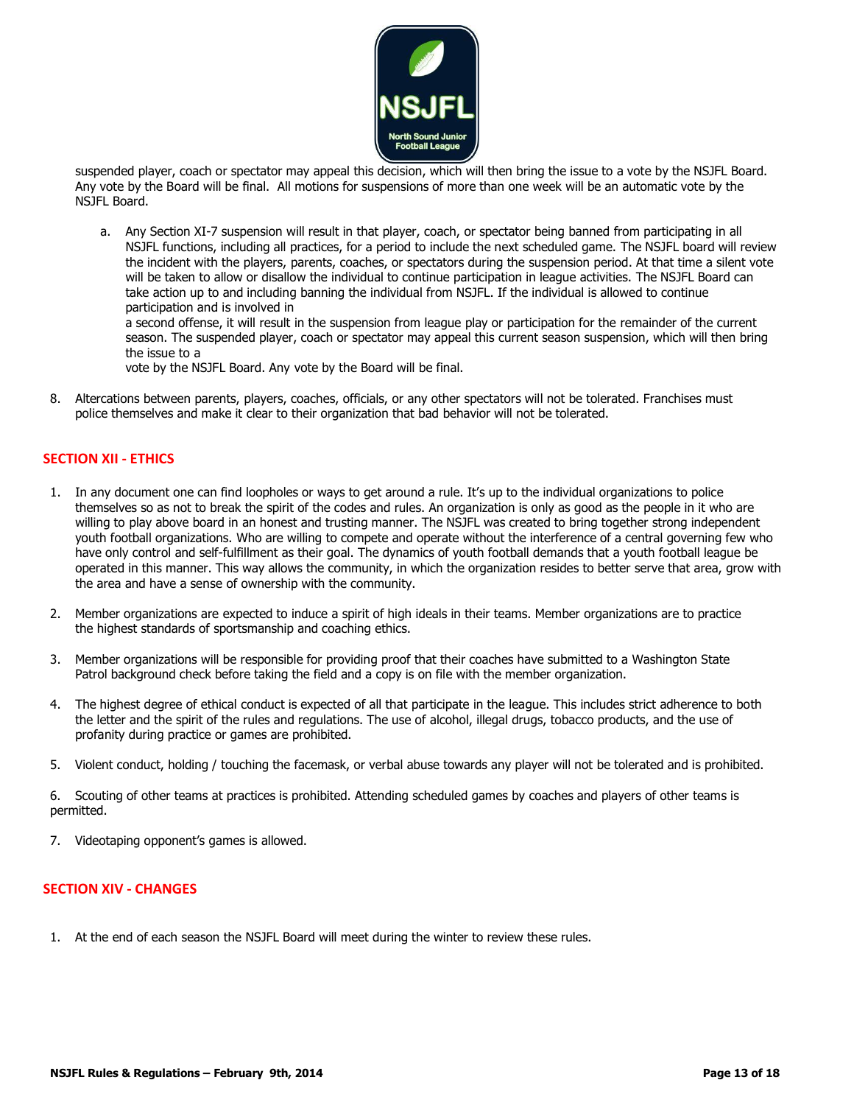

suspended player, coach or spectator may appeal this decision, which will then bring the issue to a vote by the NSJFL Board. Any vote by the Board will be final. All motions for suspensions of more than one week will be an automatic vote by the NSJFL Board.

a. Any Section XI-7 suspension will result in that player, coach, or spectator being banned from participating in all NSJFL functions, including all practices, for a period to include the next scheduled game. The NSJFL board will review the incident with the players, parents, coaches, or spectators during the suspension period. At that time a silent vote will be taken to allow or disallow the individual to continue participation in league activities. The NSJFL Board can take action up to and including banning the individual from NSJFL. If the individual is allowed to continue participation and is involved in

a second offense, it will result in the suspension from league play or participation for the remainder of the current season. The suspended player, coach or spectator may appeal this current season suspension, which will then bring the issue to a

vote by the NSJFL Board. Any vote by the Board will be final.

8. Altercations between parents, players, coaches, officials, or any other spectators will not be tolerated. Franchises must police themselves and make it clear to their organization that bad behavior will not be tolerated.

### **SECTION XII - ETHICS**

- 1. In any document one can find loopholes or ways to get around a rule. It's up to the individual organizations to police themselves so as not to break the spirit of the codes and rules. An organization is only as good as the people in it who are willing to play above board in an honest and trusting manner. The NSJFL was created to bring together strong independent youth football organizations. Who are willing to compete and operate without the interference of a central governing few who have only control and self-fulfillment as their goal. The dynamics of youth football demands that a youth football league be operated in this manner. This way allows the community, in which the organization resides to better serve that area, grow with the area and have a sense of ownership with the community.
- 2. Member organizations are expected to induce a spirit of high ideals in their teams. Member organizations are to practice the highest standards of sportsmanship and coaching ethics.
- 3. Member organizations will be responsible for providing proof that their coaches have submitted to a Washington State Patrol background check before taking the field and a copy is on file with the member organization.
- 4. The highest degree of ethical conduct is expected of all that participate in the league. This includes strict adherence to both the letter and the spirit of the rules and regulations. The use of alcohol, illegal drugs, tobacco products, and the use of profanity during practice or games are prohibited.
- 5. Violent conduct, holding / touching the facemask, or verbal abuse towards any player will not be tolerated and is prohibited.

6. Scouting of other teams at practices is prohibited. Attending scheduled games by coaches and players of other teams is permitted.

7. Videotaping opponent's games is allowed.

#### **SECTION XIV - CHANGES**

**Feburary 9th, 2014** 

1. At the end of each season the NSJFL Board will meet during the winter to review these rules.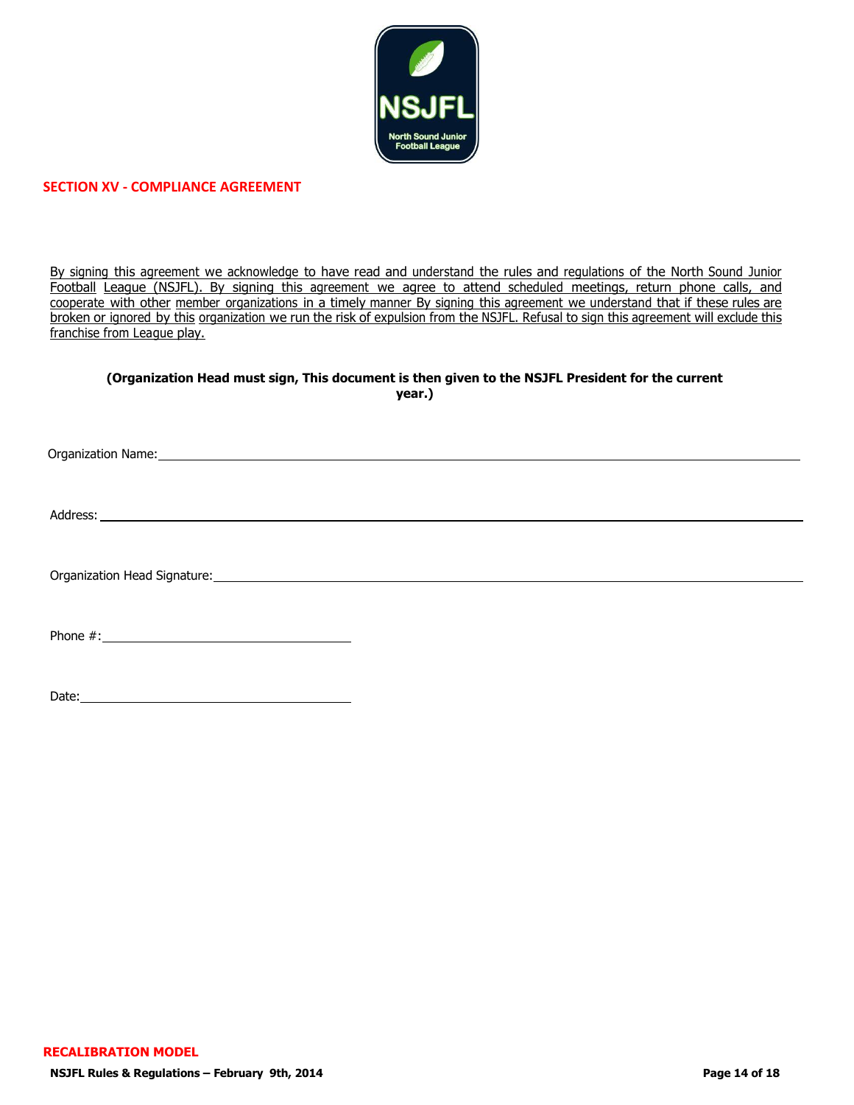

### **SECTION XV - COMPLIANCE AGREEMENT**

By signing this agreement we acknowledge to have read and understand the rules and regulations of the North Sound Junior Football League (NSJFL). By signing this agreement we agree to attend scheduled meetings, return phone calls, and cooperate with other member organizations in a timely manner By signing this agreement we understand that if these rules are broken or ignored by this organization we run the risk of expulsion from the NSJFL. Refusal to sign this agreement will exclude this franchise from League play.

#### **(Organization Head must sign, This document is then given to the NSJFL President for the current year.)**

| Organization Name: and a state of the contract of the contract of the contract of the contract of the contract of the contract of the contract of the contract of the contract of the contract of the contract of the contract |  |  |
|--------------------------------------------------------------------------------------------------------------------------------------------------------------------------------------------------------------------------------|--|--|
|                                                                                                                                                                                                                                |  |  |
|                                                                                                                                                                                                                                |  |  |
| Address: Note that the contract of the contract of the contract of the contract of the contract of the contract of the contract of the contract of the contract of the contract of the contract of the contract of the contrac |  |  |
|                                                                                                                                                                                                                                |  |  |
|                                                                                                                                                                                                                                |  |  |
|                                                                                                                                                                                                                                |  |  |
|                                                                                                                                                                                                                                |  |  |
|                                                                                                                                                                                                                                |  |  |
|                                                                                                                                                                                                                                |  |  |
|                                                                                                                                                                                                                                |  |  |
|                                                                                                                                                                                                                                |  |  |
|                                                                                                                                                                                                                                |  |  |

Date: <u>and the contract of the contract of the contract of the contract of the contract of the contract of the contract of the contract of the contract of the contract of the contract of the contract of the contract of the</u>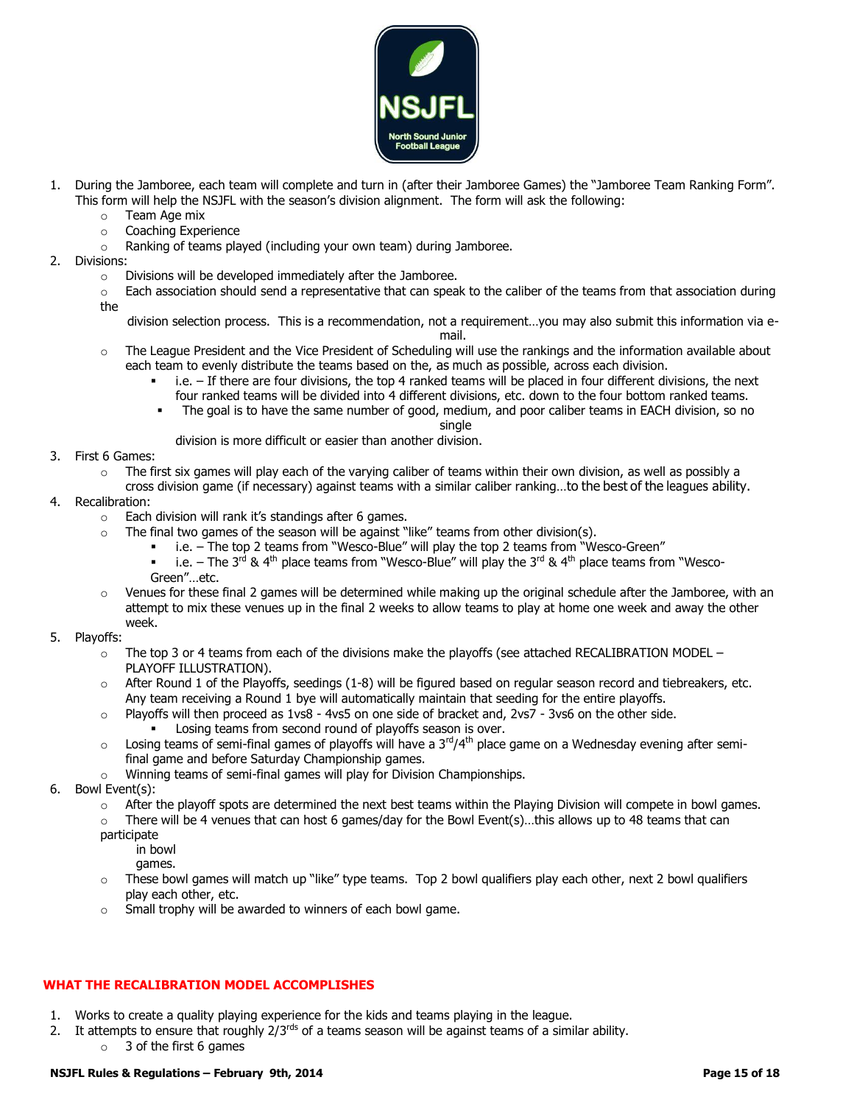

- 1. During the Jamboree, each team will complete and turn in (after their Jamboree Games) the "Jamboree Team Ranking Form". This form will help the NSJFL with the season's division alignment. The form will ask the following:
	- o Team Age mix
	- o Coaching Experience
	- o Ranking of teams played (including your own team) during Jamboree.
- 2. Divisions:
	- o Divisions will be developed immediately after the Jamboree.
	- $\circ$  Each association should send a representative that can speak to the caliber of the teams from that association during the

division selection process. This is a recommendation, not a requirement…you may also submit this information via email.

- $\circ$  The League President and the Vice President of Scheduling will use the rankings and the information available about each team to evenly distribute the teams based on the, as much as possible, across each division.
	- $\blacksquare$  i.e. If there are four divisions, the top 4 ranked teams will be placed in four different divisions, the next
	- four ranked teams will be divided into 4 different divisions, etc. down to the four bottom ranked teams. The goal is to have the same number of good, medium, and poor caliber teams in EACH division, so no

single

division is more difficult or easier than another division.

- 3. First 6 Games:
	- $\circ$  The first six games will play each of the varying caliber of teams within their own division, as well as possibly a
	- cross division game (if necessary) against teams with a similar caliber ranking…to the best of the leagues ability.
- 4. Recalibration:
	- o Each division will rank it's standings after 6 games.
		- The final two games of the season will be against "like" teams from other division(s).
			- i.e. The top 2 teams from "Wesco-Blue" will play the top 2 teams from "Wesco-Green"
			- **•** i.e. The 3<sup>rd</sup> & 4<sup>th</sup> place teams from "Wesco-Blue" will play the 3<sup>rd</sup> & 4<sup>th</sup> place teams from "Wesco-Green"…etc.
	- $\circ$  Venues for these final 2 games will be determined while making up the original schedule after the Jamboree, with an attempt to mix these venues up in the final 2 weeks to allow teams to play at home one week and away the other week.
- 5. Playoffs:
	- The top 3 or 4 teams from each of the divisions make the playoffs (see attached RECALIBRATION MODEL PLAYOFF ILLUSTRATION).
	- After Round 1 of the Playoffs, seedings (1-8) will be figured based on regular season record and tiebreakers, etc. Any team receiving a Round 1 bye will automatically maintain that seeding for the entire playoffs.
	- o Playoffs will then proceed as 1vs8 4vs5 on one side of bracket and, 2vs7 3vs6 on the other side.
		- Losing teams from second round of playoffs season is over.
	- $\circ$  Losing teams of semi-final games of playoffs will have a 3<sup>rd</sup>/4<sup>th</sup> place game on a Wednesday evening after semifinal game and before Saturday Championship games.
	- o Winning teams of semi-final games will play for Division Championships.
- 6. Bowl Event(s):
	- $\circ$  After the playoff spots are determined the next best teams within the Playing Division will compete in bowl games.
	- There will be 4 venues that can host 6 games/day for the Bowl Event(s)...this allows up to 48 teams that can
	- participate
		- in bowl
		- games.
	- $\circ$  These bowl games will match up "like" type teams. Top 2 bowl qualifiers play each other, next 2 bowl qualifiers play each other, etc.
	- o Small trophy will be awarded to winners of each bowl game.

### **WHAT THE RECALIBRATION MODEL ACCOMPLISHES**

- 1. Works to create a quality playing experience for the kids and teams playing in the league.
- 2. It attempts to ensure that roughly  $2/3^{rds}$  of a teams season will be against teams of a similar ability.
	- $\circ$  3 of the first 6 games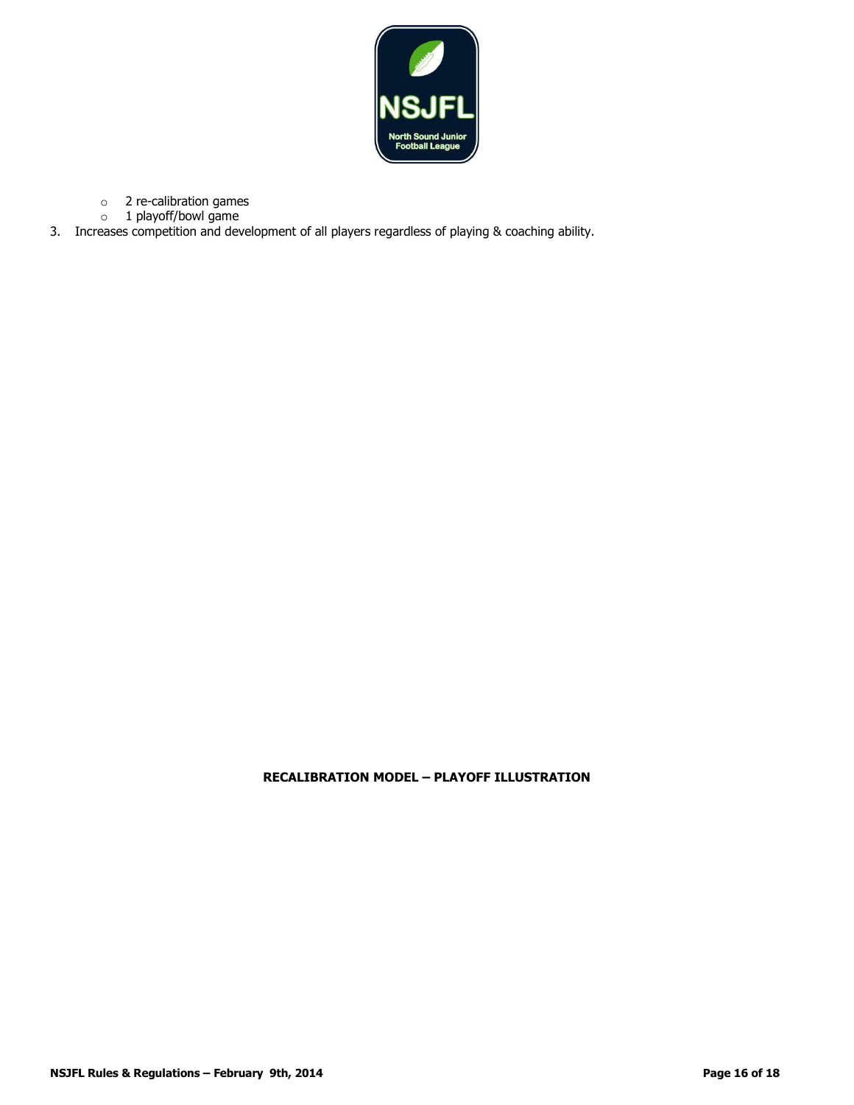

- o 2 re-calibration games
- o 1 playoff/bowl game
- 3. Increases competition and development of all players regardless of playing & coaching ability.

### **RECALIBRATION MODEL – PLAYOFF ILLUSTRATION**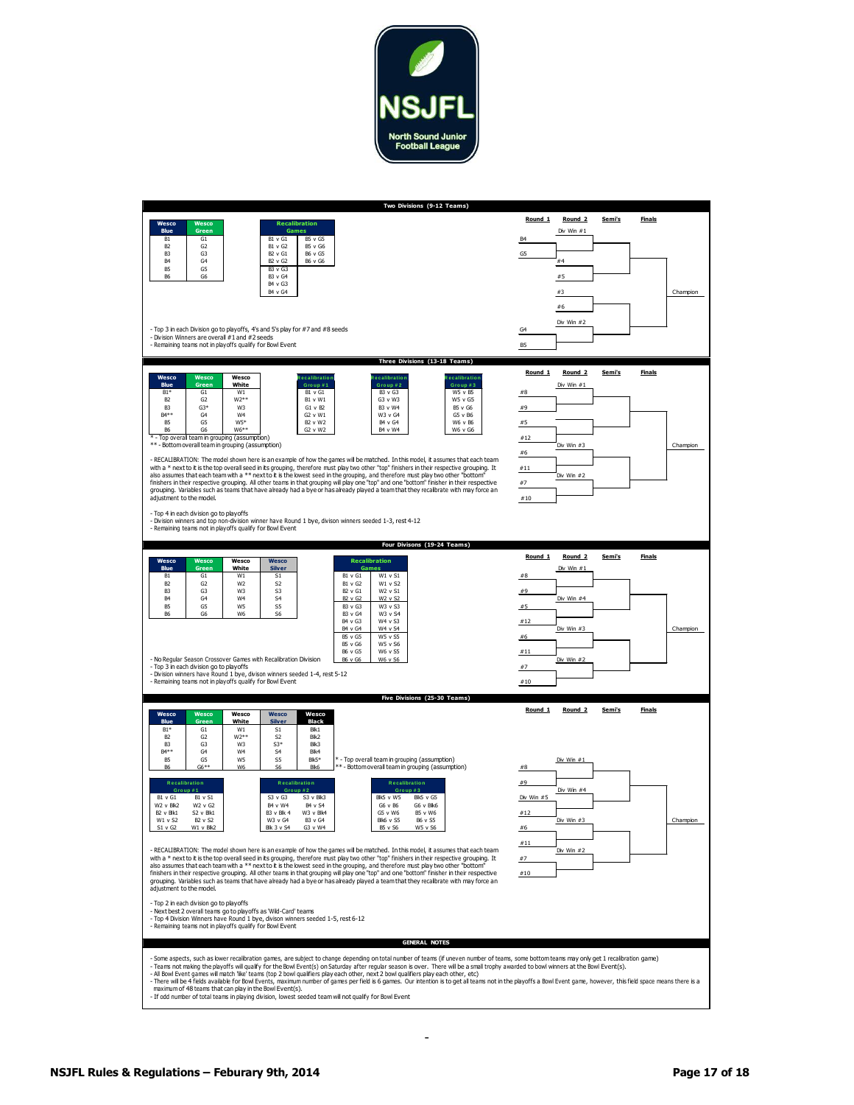